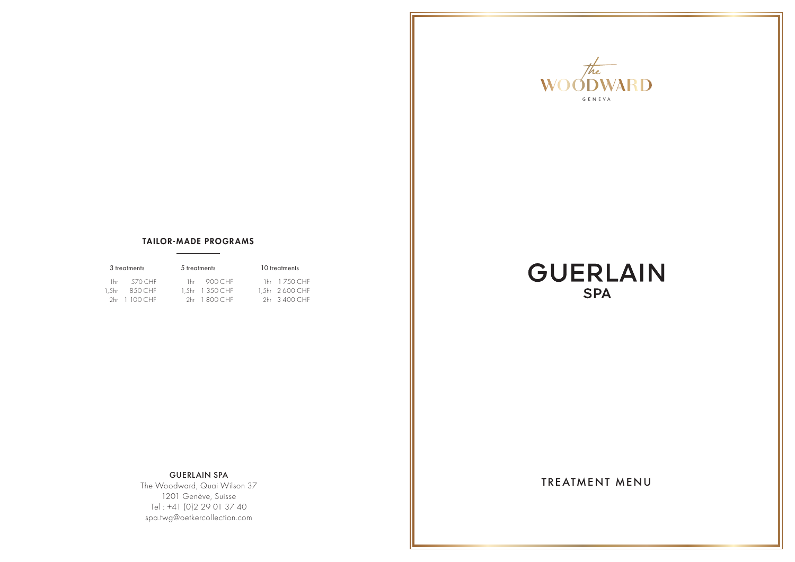

#### TAILOR-MADE PROGRAMS

| 3 treatments   | 5 treatments            | 10 treatments   |
|----------------|-------------------------|-----------------|
| 1hr 570 CHE    | $1hr = 900 \text{ CHF}$ | 1hr 1 750 CHF   |
| 1.5hr 8.50 CHF | 1.5hr 1 350 CHF         | 1.5hr 2 600 CHF |
| 2hr 1 100 CHE  | 2hr 1800 CHE            | 2hr 3 400 CHE   |

# **GUERLAIN SPA**

GUERLAIN SPA<br>Declared Over Wilson 27 Nicolas Contract Library of TREATMENT MENU The Woodward, Quai Wilson 37 1201 Genève, Suisse Tel : +41 (0)2 29 01 37 40 spa.twg@oetkercollection.com